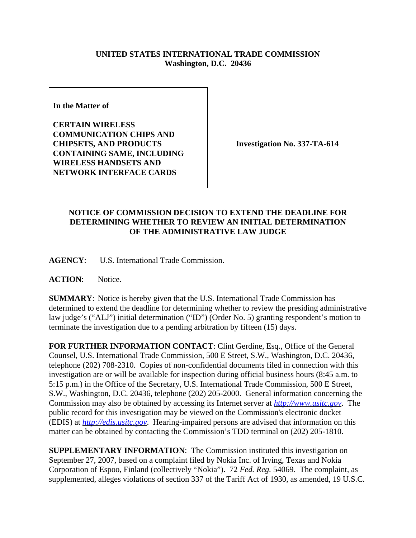## **UNITED STATES INTERNATIONAL TRADE COMMISSION Washington, D.C. 20436**

**In the Matter of** 

**CERTAIN WIRELESS COMMUNICATION CHIPS AND CHIPSETS, AND PRODUCTS CONTAINING SAME, INCLUDING WIRELESS HANDSETS AND NETWORK INTERFACE CARDS**

**Investigation No. 337-TA-614**

## **NOTICE OF COMMISSION DECISION TO EXTEND THE DEADLINE FOR DETERMINING WHETHER TO REVIEW AN INITIAL DETERMINATION OF THE ADMINISTRATIVE LAW JUDGE**

**AGENCY**: U.S. International Trade Commission.

ACTION: Notice.

**SUMMARY**: Notice is hereby given that the U.S. International Trade Commission has determined to extend the deadline for determining whether to review the presiding administrative law judge's ("ALJ") initial determination ("ID") (Order No. 5) granting respondent's motion to terminate the investigation due to a pending arbitration by fifteen (15) days.

**FOR FURTHER INFORMATION CONTACT**: Clint Gerdine, Esq., Office of the General Counsel, U.S. International Trade Commission, 500 E Street, S.W., Washington, D.C. 20436, telephone (202) 708-2310. Copies of non-confidential documents filed in connection with this investigation are or will be available for inspection during official business hours (8:45 a.m. to 5:15 p.m.) in the Office of the Secretary, U.S. International Trade Commission, 500 E Street, S.W., Washington, D.C. 20436, telephone (202) 205-2000. General information concerning the Commission may also be obtained by accessing its Internet server at *http://www.usitc.gov*. The public record for this investigation may be viewed on the Commission's electronic docket (EDIS) at *http://edis.usitc.gov*. Hearing-impaired persons are advised that information on this matter can be obtained by contacting the Commission's TDD terminal on (202) 205-1810.

**SUPPLEMENTARY INFORMATION:** The Commission instituted this investigation on September 27, 2007, based on a complaint filed by Nokia Inc. of Irving, Texas and Nokia Corporation of Espoo, Finland (collectively "Nokia"). 72 *Fed. Reg.* 54069. The complaint, as supplemented, alleges violations of section 337 of the Tariff Act of 1930, as amended, 19 U.S.C.